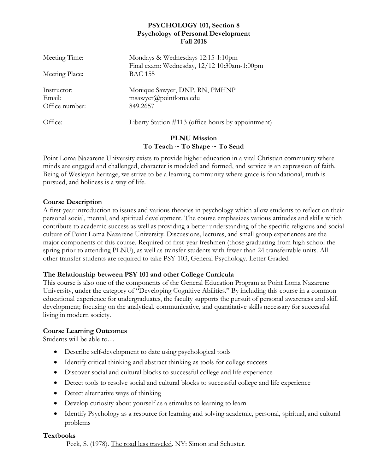## **PSYCHOLOGY 101, Section 8 Psychology of Personal Development Fall 2018**

| Meeting Time:  | Mondays & Wednesdays 12:15-1:10pm<br>Final exam: Wednesday, 12/12 10:30am-1:00pm                                                         |
|----------------|------------------------------------------------------------------------------------------------------------------------------------------|
| Meeting Place: | <b>BAC 155</b>                                                                                                                           |
| Instructor:    | Monique Sawyer, DNP, RN, PMHNP                                                                                                           |
| Email:         | $msawyer(\omega)$ pointloma.edu                                                                                                          |
| Office number: | 849.2657                                                                                                                                 |
| Office:        | Liberty Station #113 (office hours by appointment)                                                                                       |
|                | $\mathbf{D}$ if $\mathbf{M}$ is the set of $\mathbf{M}$ is the set of $\mathbf{M}$ is the set of $\mathbf{M}$ is the set of $\mathbf{M}$ |

**PLNU Mission To Teach ~ To Shape ~ To Send**

Point Loma Nazarene University exists to provide higher education in a vital Christian community where minds are engaged and challenged, character is modeled and formed, and service is an expression of faith. Being of Wesleyan heritage, we strive to be a learning community where grace is foundational, truth is pursued, and holiness is a way of life.

## **Course Description**

A first-year introduction to issues and various theories in psychology which allow students to reflect on their personal social, mental, and spiritual development. The course emphasizes various attitudes and skills which contribute to academic success as well as providing a better understanding of the specific religious and social culture of Point Loma Nazarene University. Discussions, lectures, and small group experiences are the major components of this course. Required of first-year freshmen (those graduating from high school the spring prior to attending PLNU), as well as transfer students with fewer than 24 transferrable units. All other transfer students are required to take PSY 103, General Psychology. Letter Graded

# **The Relationship between PSY 101 and other College Curricula**

This course is also one of the components of the General Education Program at Point Loma Nazarene University, under the category of "Developing Cognitive Abilities." By including this course in a common educational experience for undergraduates, the faculty supports the pursuit of personal awareness and skill development; focusing on the analytical, communicative, and quantitative skills necessary for successful living in modern society.

### **Course Learning Outcomes**

Students will be able to…

- Describe self-development to date using psychological tools
- Identify critical thinking and abstract thinking as tools for college success
- Discover social and cultural blocks to successful college and life experience
- Detect tools to resolve social and cultural blocks to successful college and life experience
- Detect alternative ways of thinking
- Develop curiosity about yourself as a stimulus to learning to learn
- Identify Psychology as a resource for learning and solving academic, personal, spiritual, and cultural problems

### **Textbooks**

Peck, S. (1978). The road less traveled. NY: Simon and Schuster.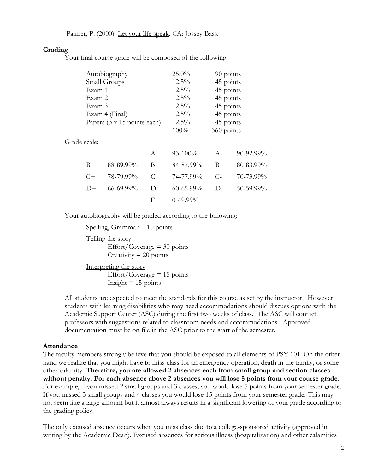Palmer, P. (2000). Let your life speak. CA: Jossey-Bass.

## **Grading**

Your final course grade will be composed of the following:

|              | Autobiography               |                |          | $25.0\%$       | 90 points  |           |
|--------------|-----------------------------|----------------|----------|----------------|------------|-----------|
|              | Small Groups                |                |          | $12.5\%$       | 45 points  |           |
|              | Exam 1                      |                |          | $12.5\%$       | 45 points  |           |
|              | Exam 2                      |                |          | $12.5\%$       | 45 points  |           |
|              | Exam 3                      |                | $12.5\%$ | 45 points      |            |           |
|              | Exam 4 (Final)              |                | $12.5\%$ | 45 points      |            |           |
|              | Papers (3 x 15 points each) |                | $12.5\%$ | 45 points      |            |           |
|              |                             |                |          | 100%           | 360 points |           |
| Grade scale: |                             |                |          |                |            |           |
|              |                             |                | A        | $93 - 100\%$   | $A -$      | 90-92.99% |
|              | $B+$                        | 88-89.99%      | B        | 84-87.99%      | $B-$       | 80-83.99% |
|              | $C+$                        | 78-79.99%      | C        | 74-77.99%      | $C$ -      | 70-73.99% |
|              | $D+$                        | $66 - 69.99\%$ | D        | $60 - 65.99\%$ | $D-$       | 50-59.99% |
|              |                             |                | F        | $0-49.99\%$    |            |           |

Your autobiography will be graded according to the following:

```
Spelling, Grammar = 10 points
```
Telling the story  $Effort/Coverage = 30 points$ Creativity  $= 20$  points

```
Interpreting the story
Effort/Coverage = 15 pointsInsight = 15 points
```
All students are expected to meet the standards for this course as set by the instructor. However, students with learning disabilities who may need accommodations should discuss options with the Academic Support Center (ASC) during the first two weeks of class. The ASC will contact professors with suggestions related to classroom needs and accommodations. Approved documentation must be on file in the ASC prior to the start of the semester.

# **Attendance**

The faculty members strongly believe that you should be exposed to all elements of PSY 101. On the other hand we realize that you might have to miss class for an emergency operation, death in the family, or some other calamity. **Therefore, you are allowed 2 absences each from small group and section classes without penalty. For each absence above 2 absences you will lose 5 points from your course grade.** For example, if you missed 2 small groups and 3 classes, you would lose 5 points from your semester grade. If you missed 3 small groups and 4 classes you would lose 15 points from your semester grade. This may not seem like a large amount but it almost always results in a significant lowering of your grade according to the grading policy.

The only excused absence occurs when you miss class due to a college-sponsored activity (approved in writing by the Academic Dean). Excused absences for serious illness (hospitalization) and other calamities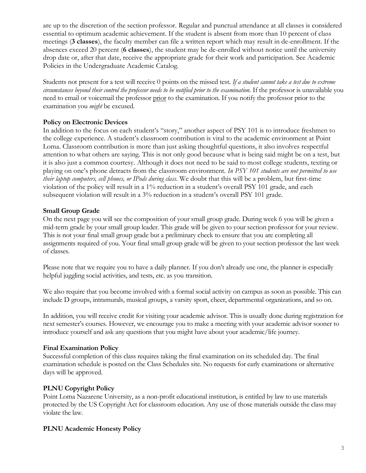are up to the discretion of the section professor. Regular and punctual attendance at all classes is considered essential to optimum academic achievement. If the student is absent from more than 10 percent of class meetings (**3 classes**), the faculty member can file a written report which may result in de-enrollment. If the absences exceed 20 percent (**6 classes**), the student may be de-enrolled without notice until the university drop date or, after that date, receive the appropriate grade for their work and participation. See Academic Policies in the Undergraduate Academic Catalog.

Students not present for a test will receive 0 points on the missed test. *If a student cannot take a test due to extreme circumstances beyond their control the professor needs to be notified prior to the examination.* If the professor is unavailable you need to email or voicemail the professor prior to the examination. If you notify the professor prior to the examination you *might* be excused.

## **Policy on Electronic Devices**

In addition to the focus on each student's "story," another aspect of PSY 101 is to introduce freshmen to the college experience. A student's classroom contribution is vital to the academic environment at Point Loma. Classroom contribution is more than just asking thoughtful questions, it also involves respectful attention to what others are saying. This is not only good because what is being said might be on a test, but it is also just a common courtesy. Although it does not need to be said to most college students, texting or playing on one's phone detracts from the classroom environment*. In PSY 101 students are not permitted to use their laptop computers, cell phones, or IPods during class.* We doubt that this will be a problem, but first-time violation of the policy will result in a 1% reduction in a student's overall PSY 101 grade, and each subsequent violation will result in a 3% reduction in a student's overall PSY 101 grade.

## **Small Group Grade**

On the next page you will see the composition of your small group grade. During week 6 you will be given a mid-term grade by your small group leader. This grade will be given to your section professor for your review. This is not your final small group grade but a preliminary check to ensure that you are completing all assignments required of you. Your final small group grade will be given to your section professor the last week of classes.

Please note that we require you to have a daily planner. If you don't already use one, the planner is especially helpful juggling social activities, and tests, etc. as you transition.

We also require that you become involved with a formal social activity on campus as soon as possible. This can include D groups, intramurals, musical groups, a varsity sport, cheer, departmental organizations, and so on.

In addition, you will receive credit for visiting your academic advisor. This is usually done during registration for next semester's courses. However, we encourage you to make a meeting with your academic advisor sooner to introduce yourself and ask any questions that you might have about your academic/life journey.

### **Final Examination Policy**

Successful completion of this class requires taking the final examination on its scheduled day. The final examination schedule is posted on the Class Schedules site. No requests for early examinations or alternative days will be approved.

### **PLNU Copyright Policy**

Point Loma Nazarene University, as a non-profit educational institution, is entitled by law to use materials protected by the US Copyright Act for classroom education. Any use of those materials outside the class may violate the law.

# **PLNU Academic Honesty Policy**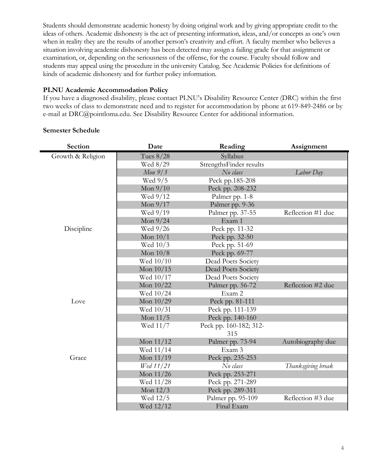Students should demonstrate academic honesty by doing original work and by giving appropriate credit to the ideas of others. Academic dishonesty is the act of presenting information, ideas, and/or concepts as one's own when in reality they are the results of another person's creativity and effort. A faculty member who believes a situation involving academic dishonesty has been detected may assign a failing grade for that assignment or examination, or, depending on the seriousness of the offense, for the course. Faculty should follow and students may appeal using the procedure in the university Catalog. See Academic Policies for definitions of kinds of academic dishonesty and for further policy information.

## **PLNU Academic Accommodation Policy**

If you have a diagnosed disability, please contact PLNU's Disability Resource Center (DRC) within the first two weeks of class to demonstrate need and to register for accommodation by phone at 619-849-2486 or by e-mail at DRC@pointloma.edu. See Disability Resource Center for additional information.

### **Semester Schedule**

| Section           | Date        | Reading                   | Assignment         |
|-------------------|-------------|---------------------------|--------------------|
| Growth & Religion | Tues $8/28$ | Syllabus                  |                    |
|                   | Wed 8/29    | StrengthsFinder results   |                    |
|                   | Mon $9/3$   | No class                  | Labor Day          |
|                   | Wed $9/5$   | Peck pp.185-208           |                    |
|                   | Mon $9/10$  | Peck pp. 208-232          |                    |
|                   | Wed $9/12$  | Palmer pp. 1-8            |                    |
|                   | Mon $9/17$  | Palmer pp. 9-36           |                    |
|                   | Wed 9/19    | Palmer pp. 37-55          | Reflection #1 due  |
|                   | Mon $9/24$  | Exam 1                    |                    |
| Discipline        | Wed 9/26    | Peck pp. 11-32            |                    |
|                   | Mon $10/1$  | Peck pp. 32-50            |                    |
|                   | Wed 10/3    | Peck pp. 51-69            |                    |
|                   | Mon $10/8$  | Peck pp. 69-77            |                    |
|                   | Wed 10/10   | Dead Poets Society        |                    |
|                   | Mon $10/15$ | <b>Dead Poets Society</b> |                    |
|                   | Wed 10/17   | Dead Poets Society        |                    |
|                   | Mon $10/22$ | Palmer pp. 56-72          | Reflection #2 due  |
|                   | Wed 10/24   | Exam 2                    |                    |
| Love              | Mon $10/29$ | Peck pp. 81-111           |                    |
|                   | Wed 10/31   | Peck pp. 111-139          |                    |
|                   | Mon $11/5$  | Peck pp. 140-160          |                    |
|                   | Wed 11/7    | Peck pp. 160-182; 312-    |                    |
|                   |             | 315                       |                    |
|                   | Mon 11/12   | Palmer pp. 73-94          | Autobiography due  |
|                   | Wed 11/14   | Exam 3                    |                    |
| Grace             | Mon 11/19   | Peck pp. 235-253          |                    |
|                   | Wed 11/21   | No class                  | Thanksgiving break |
|                   | Mon 11/26   | Peck pp. 253-271          |                    |
|                   | Wed 11/28   | Peck pp. 271-289          |                    |
|                   | Mon $12/3$  | Peck pp. 289-311          |                    |
|                   | Wed 12/5    | Palmer pp. 95-109         | Reflection #3 due  |
|                   | Wed 12/12   | Final Exam                |                    |